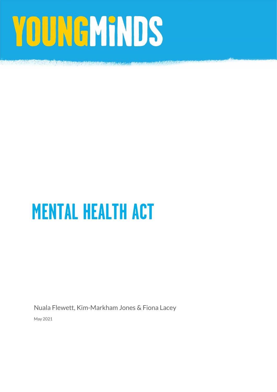# YOUNGMINDS

# MENTAL HEALTH ACT

Nuala Flewett, Kim-Markham Jones & Fiona Lacey

May 2021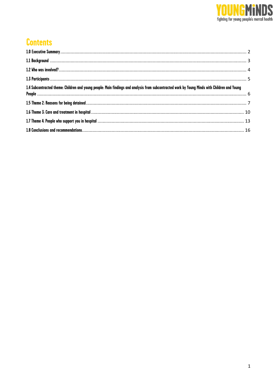

# **Contents**

| 1.4 Subcontracted theme: Children and young people: Main findings and analysis from subcontracted work by Young Minds with Children and Young |  |
|-----------------------------------------------------------------------------------------------------------------------------------------------|--|
|                                                                                                                                               |  |
|                                                                                                                                               |  |
|                                                                                                                                               |  |
|                                                                                                                                               |  |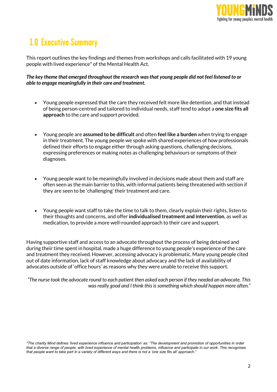

# 1.0 Executive Summary

This report outlines the key findings and themes from workshops and calls facilitated with 19 young people with lived experience\* of the Mental Health Act.

The key theme that emerged throughout the research was that young people did not feel listened to or able to engage meaningfully in their care and treatment.

- Young people expressed that the care they received felt more like detention, and that instead of being person-centred and tailored to individual needs, staff tend to adopt a one size fits all approach to the care and support provided.
- Young people are assumed to be difficult and often feel like a burden when trying to engage in their treatment. The young people we spoke with shared experiences of how professionals defined their efforts to engage either through asking questions, challenging decisions, expressing preferences or making notes as challenging behaviours or symptoms of their diagnoses.
- Young people want to be meaningfully involved in decisions made about them and staff are often seen as the main barrier to this, with informal patients being threatened with section if they are seen to be 'challenging' their treatment and care.
- Young people want staff to take the time to talk to them, clearly explain their rights, listen to their thoughts and concerns, and offer individualised treatment and intervention, as well as medication, to provide a more well-rounded approach to their care and support.

Having supportive staff and access to an advocate throughout the process of being detained and during their time spent in hospital, made a huge difference to young people's experience of the care and treatment they received. However, accessing advocacy is problematic. Many young people cited out of date information, lack of staff knowledge about advocacy and the lack of availability of advocates outside of 'office hours' as reasons why they were unable to receive this support.

"The nurse took the advocate round to each patient then asked each person if they needed an advocate. This was really good and I think this is something which should happen more often."

<sup>\*</sup>The charity Mind defines 'lived experience influence and participation' as: "The development and promotion of opportunities in order that a diverse range of people, with lived experience of mental health problems, influence and participate in our work. This recognises that people want to take part in a variety of different ways and there is not a 'one size fits all' approach."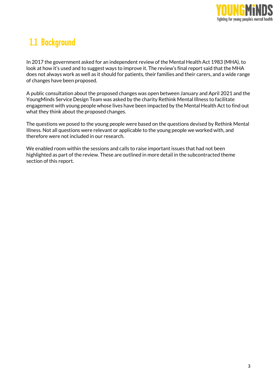

# 1.1 Background

In 2017 the government asked for an independent review of the Mental Health Act 1983 (MHA), to look at how it's used and to suggest ways to improve it. The review's final report said that the MHA does not always work as well as it should for patients, their families and their carers, and a wide range of changes have been proposed.

A public consultation about the proposed changes was open between January and April 2021 and the YoungMinds Service Design Team was asked by the charity Rethink Mental Illness to facilitate engagement with young people whose lives have been impacted by the Mental Health Act to find out what they think about the proposed changes.

The questions we posed to the young people were based on the questions devised by Rethink Mental Illness. Not all questions were relevant or applicable to the young people we worked with, and therefore were not included in our research.

We enabled room within the sessions and calls to raise important issues that had not been highlighted as part of the review. These are outlined in more detail in the subcontracted theme section of this report.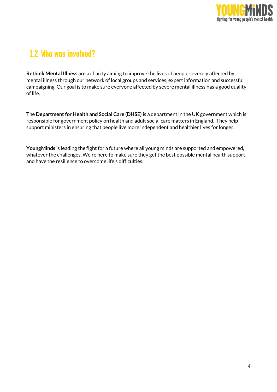

# 1.2 Who was involved?

Rethink Mental Illness are a charity aiming to improve the lives of people severely affected by mental illness through our network of local groups and services, expert information and successful campaigning. Our goal is to make sure everyone affected by severe mental illness has a good quality of life.

The Department for Health and Social Care (DHSE) is a department in the UK government which is responsible for government policy on health and adult social care matters in England. They help support ministers in ensuring that people live more independent and healthier lives for longer.

YoungMinds is leading the fight for a future where all young minds are supported and empowered, whatever the challenges. We're here to make sure they get the best possible mental health support and have the resilience to overcome life's difficulties.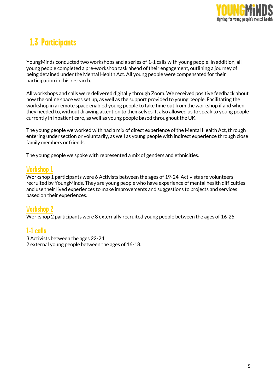

# 1.3 Participants

YoungMinds conducted two workshops and a series of 1-1 calls with young people. In addition, all young people completed a pre-workshop task ahead of their engagement, outlining a journey of being detained under the Mental Health Act. All young people were compensated for their participation in this research.

All workshops and calls were delivered digitally through Zoom. We received positive feedback about how the online space was set up, as well as the support provided to young people. Facilitating the workshop in a remote space enabled young people to take time out from the workshop if and when they needed to, without drawing attention to themselves. It also allowed us to speak to young people currently in inpatient care, as well as young people based throughout the UK.

The young people we worked with had a mix of direct experience of the Mental Health Act, through entering under section or voluntarily, as well as young people with indirect experience through close family members or friends.

The young people we spoke with represented a mix of genders and ethnicities.

#### Workshop 1

Workshop 1 participants were 6 Activists between the ages of 19-24. Activists are volunteers recruited by YoungMinds. They are young people who have experience of mental health difficulties and use their lived experiences to make improvements and suggestions to projects and services based on their experiences.

#### Workshop 2

Workshop 2 participants were 8 externally recruited young people between the ages of 16-25.

#### 1-1 calls

3 Activists between the ages 22-24.

2 external young people between the ages of 16-18.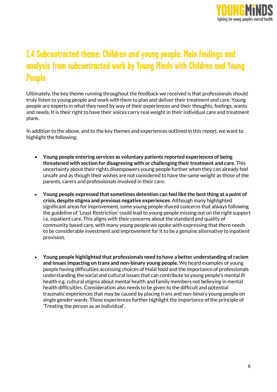

# 1.4 Subcontracted theme: Children and young people: Main findings and analysis from subcontracted work by Young Minds with Children and Young People

Ultimately, the key theme running throughout the feedback we received is that professionals should truly listen to young people and work with them to plan and deliver their treatment and care. Young people are experts in what they need by way of their experiences and their thoughts, feelings, wants and needs. It is their right to have their voices carry real weight in their individual care and treatment plans.

In addition to the above, and to the key themes and experiences outlined in this report, we want to highlight the following:

- Young people entering services as voluntary patients reported experiences of being threatened with section for disagreeing with or challenging their treatment and care. This uncertainty about their rights disempowers young people further when they can already feel unsafe and as though their wishes are not considered to have the same weight as those of the parents, carers and professionals involved in their care.
- Young people expressed that sometimes detention can feel like the best thing at a point of crisis, despite stigma and previous negative experiences. Although many highlighted significant areas for improvement, some young people shared concerns that always following the guideline of 'Least Restriction' could lead to young people missing out on the right support i.e. inpatient care. This aligns with their concerns about the standard and quality of community based care, with many young people we spoke with expressing that there needs to be considerable investment and improvement for it to be a genuine alternative to inpatient provision.
- Young people highlighted that professionals need to have a better understanding of racism and issues impacting on trans and non-binary young people. We heard examples of young people having difficulties accessing choices of Halal food and the importance of professionals understanding the social and cultural issues that can contribute to young people's mental ill health e.g. cultural stigma about mental health and family members not believing in mental health difficulties. Consideration also needs to be given to the difficult and potential traumatic experiences that may be caused by placing trans and non-binary young people on single gender wards. These experiences further highlight the importance of the principle of 'Treating the person as an individual'.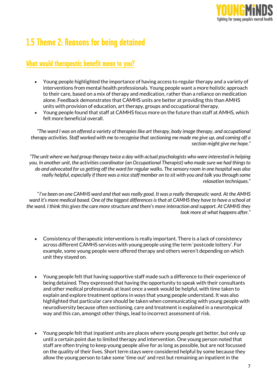

## 1.5 Theme 2: Reasons for being detained

#### What would therapeutic benefit mean to you?

- Young people highlighted the importance of having access to regular therapy and a variety of interventions from mental health professionals. Young people want a more holistic approach to their care, based on a mix of therapy and medication, rather than a reliance on medication alone. Feedback demonstrates that CAMHS units are better at providing this than AMHS units with provision of education, art therapy, groups and occupational therapy.
- Young people found that staff at CAMHS focus more on the future than staff at AMHS, which felt more beneficial overall.

"The ward I was on offered a variety of therapies like art therapy, body image therapy, and occupational therapy activities. Staff worked with me to recognise that sectioning me made me give up, and coming off a section might give me hope."

"The unit where we had group therapy twice a day with actual psychologists who were interested in helping you. In another unit, the activities coordinator (an Occupational Therapist) who made sure we had things to do and advocated for us getting off the ward for regular walks. The sensory room in one hospital was also really helpful, especially if there was a nice staff member on to sit with you and talk you through some relaxation techniques."

"I've been on one CAMHS ward and that was really good. It was a really therapeutic ward. At the AMHS ward it's more medical based. One of the biggest differences is that at CAMHS they have to have a school at the ward. I think this gives the care more structure and there's more interaction and support. At CAMHS they look more at what happens after."

- Consistency of therapeutic interventions is really important. There is a lack of consistency across different CAMHS services with young people using the term 'postcode lottery'. For example, some young people were offered therapy and others weren't depending on which unit they stayed on.
- Young people felt that having supportive staff made such a difference to their experience of being detained. They expressed that having the opportunity to speak with their consultants and other medical professionals at least once a week would be helpful, with time taken to explain and explore treatment options in ways that young people understand. It was also highlighted that particular care should be taken when communicating with young people with neurodiversity because often sectioning, care and treatment is explained in a neurotypical way and this can, amongst other things, lead to incorrect assessment of risk.
- Young people felt that inpatient units are places where young people get better, but only up until a certain point due to limited therapy and intervention. One young person noted that staff are often trying to keep young people alive for as long as possible, but are not focussed on the quality of their lives. Short term stays were considered helpful by some because they allow the young person to take some 'time out' and rest but remaining an inpatient in the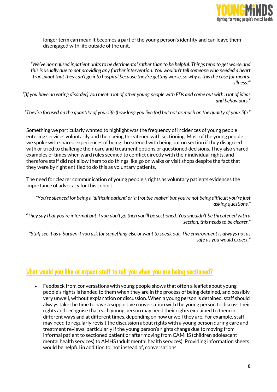

longer term can mean it becomes a part of the young person's identity and can leave them disengaged with life outside of the unit.

"We've normalised inpatient units to be detrimental rather than to be helpful. Things tend to get worse and this is usually due to not providing any further intervention. You wouldn't tell someone who needed a heart transplant that they can't go into hospital because they're getting worse, so why is this the case for mental illness?"

"[If you have an eating disorder] you meet a lot of other young people with EDs and come out with a lot of ideas and behaviours."

"They're focused on the quantity of your life (how long you live for) but not as much on the quality of your life."

Something we particularly wanted to highlight was the frequency of incidences of young people entering services voluntarily and then being threatened with sectioning. Most of the young people we spoke with shared experiences of being threatened with being put on section if they disagreed with or tried to challenge their care and treatment options or questioned decisions. They also shared examples of times when ward rules seemed to conflict directly with their individual rights, and therefore staff did not allow them to do things like go on walks or visit shops despite the fact that they were by right entitled to do this as voluntary patients.

The need for clearer communication of young people's rights as voluntary patients evidences the importance of advocacy for this cohort.

"You're silenced for being a 'difficult patient' or 'a trouble-maker' but you're not being difficult you're just asking questions."

"They say that you're informal but if you don't go then you'll be sectioned. You shouldn't be threatened with a section, this needs to be clearer."

"Staff see it as a burden if you ask for something else or want to speak out. The environment is always not as safe as you would expect."

#### What would you like or expect staff to tell you when you are being sectioned?

 Feedback from conversations with young people shows that often a leaflet about young people's rights is handed to them when they are in the process of being detained, and possibly very unwell, without explanation or discussion. When a young person is detained, staff should always take the time to have a supportive conversation with the young person to discuss their rights and recognise that each young person may need their rights explained to them in different ways and at different times, depending on how unwell they are. For example, staff may need to regularly revisit the discussion about rights with a young person during care and treatment reviews, particularly if the young person's rights change due to moving from informal patient to sectioned patient or after moving from CAMHS (children adolescent mental health services) to AMHS (adult mental health services). Providing information sheets would be helpful in addition to, not instead of, conversations.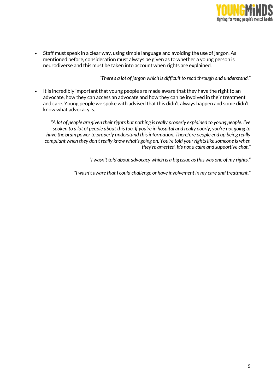

 Staff must speak in a clear way, using simple language and avoiding the use of jargon. As mentioned before, consideration must always be given as to whether a young person is neurodiverse and this must be taken into account when rights are explained.

"There's a lot of jargon which is difficult to read through and understand."

 It is incredibly important that young people are made aware that they have the right to an advocate, how they can access an advocate and how they can be involved in their treatment and care. Young people we spoke with advised that this didn't always happen and some didn't know what advocacy is.

"A lot of people are given their rights but nothing is really properly explained to young people. I've spoken to a lot of people about this too. If you're in hospital and really poorly, you're not going to have the brain power to properly understand this information. Therefore people end up being really compliant when they don't really know what's going on. You're told your rights like someone is when they're arrested. It's not a calm and supportive chat."

"I wasn't told about advocacy which is a big issue as this was one of my rights."

"I wasn't aware that I could challenge or have involvement in my care and treatment."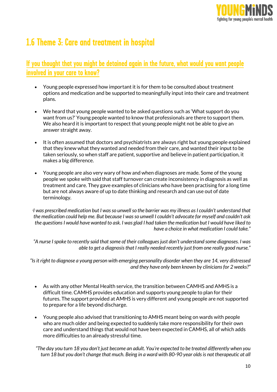

## 1.6 Theme 3: Care and treatment in hospital

#### If you thought that you might be detained again in the future, what would you want people involved in your care to know?

- Young people expressed how important it is for them to be consulted about treatment options and medication and be supported to meaningfully input into their care and treatment plans.
- We heard that young people wanted to be asked questions such as 'What support do you want from us?' Young people wanted to know that professionals are there to support them. We also heard it is important to respect that young people might not be able to give an answer straight away.
- It is often assumed that doctors and psychiatrists are always right but young people explained that they knew what they wanted and needed from their care, and wanted their input to be taken seriously, so when staff are patient, supportive and believe in patient participation, it makes a big difference.
- Young people are also very wary of how and when diagnoses are made. Some of the young people we spoke with said that staff turnover can create inconsistency in diagnosis as well as treatment and care. They gave examples of clinicians who have been practising for a long time but are not always aware of up to date thinking and research and can use out of date terminology.

"I was prescribed medication but I was so unwell so the barrier was my illness as I couldn't understand that the medication could help me. But because I was so unwell I couldn't advocate for myself and couldn't ask the questions I would have wanted to ask. I was glad I had taken the medication but I would have liked to have a choice in what medication I could take."

"A nurse I spoke to recently said that some of their colleagues just don't understand some diagnoses. I was able to get a diagnosis that I really needed recently just from one really good nurse."

"Is it right to diagnose a young person with emerging personality disorder when they are 14, very distressed and they have only been known by clinicians for 2 weeks?"

- As with any other Mental Health service, the transition between CAMHS and AMHS is a difficult time. CAMHS provides education and supports young people to plan for their futures. The support provided at AMHS is very different and young people are not supported to prepare for a life beyond discharge.
- Young people also advised that transitioning to AMHS meant being on wards with people who are much older and being expected to suddenly take more responsibility for their own care and understand things that would not have been expected in CAMHS, all of which adds more difficulties to an already stressful time.
- "The day you turn 18 you don't just become an adult. You're expected to be treated differently when you turn 18 but you don't change that much. Being in a ward with 80-90 year olds is not therapeutic at all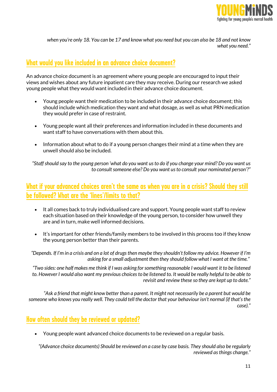

when you're only 18. You can be 17 and know what you need but you can also be 18 and not know what you need."

#### What would you like included in an advance choice document?

An advance choice document is an agreement where young people are encouraged to input their views and wishes about any future inpatient care they may receive. During our research we asked young people what they would want included in their advance choice document.

- Young people want their medication to be included in their advance choice document; this should include which medication they want and what dosage, as well as what PRN medication they would prefer in case of restraint.
- Young people want all their preferences and information included in these documents and want staff to have conversations with them about this.
- Information about what to do if a young person changes their mind at a time when they are unwell should also be included.

"Staff should say to the young person 'what do you want us to do if you change your mind? Do you want us to consult someone else? Do you want us to consult your nominated person'?"

#### What if your advanced choices aren't the same as when you are in a crisis? Should they still be followed? What are the 'lines'/limits to that?

- It all comes back to truly individualised care and support. Young people want staff to review each situation based on their knowledge of the young person, to consider how unwell they are and in turn, make well informed decisions.
- It's important for other friends/family members to be involved in this process too if they know the young person better than their parents.

"Depends. If I'm in a crisis and on a lot of drugs then maybe they shouldn't follow my advice. However if I'm asking for a small adjustment then they should follow what I want at the time."

"Two sides: one half makes me think if I was asking for something reasonable I would want it to be listened to. However I would also want my previous choices to be listened to. It would be really helpful to be able to revisit and review these so they are kept up to date."

"Ask a friend that might know better than a parent. It might not necessarily be a parent but would be someone who knows you really well. They could tell the doctor that your behaviour isn't normal (if that's the case)."

#### How often should they be reviewed or updated?

Young people want advanced choice documents to be reviewed on a regular basis.

"(Advance choice documents) Should be reviewed on a case by case basis. They should also be regularly reviewed as things change."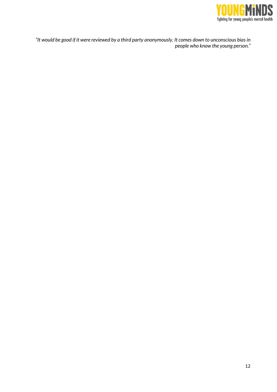

"It would be good if it were reviewed by a third party anonymously. It comes down to unconscious bias in people who know the young person."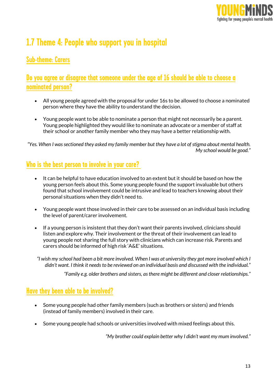

# 1.7 Theme 4: People who support you in hospital

#### Sub-theme: Carers

#### Do you agree or disagree that someone under the age of 16 should be able to choose a nominated person?

- All young people agreed with the proposal for under 16s to be allowed to choose a nominated person where they have the ability to understand the decision.
- Young people want to be able to nominate a person that might not necessarily be a parent. Young people highlighted they would like to nominate an advocate or a member of staff at their school or another family member who they may have a better relationship with.

"Yes. When I was sectioned they asked my family member but they have a lot of stigma about mental health. My school would be good."

#### Who is the best person to involve in your care?

- It can be helpful to have education involved to an extent but it should be based on how the young person feels about this. Some young people found the support invaluable but others found that school involvement could be intrusive and lead to teachers knowing about their personal situations when they didn't need to.
- Young people want those involved in their care to be assessed on an individual basis including the level of parent/carer involvement.
- If a young person is insistent that they don't want their parents involved, clinicians should listen and explore why. Their involvement or the threat of their involvement can lead to young people not sharing the full story with clinicians which can increase risk. Parents and carers should be informed of high risk 'A&E' situations.

"I wish my school had been a bit more involved. When I was at university they got more involved which I didn't want. I think it needs to be reviewed on an individual basis and discussed with the individual."

"Family e.g. older brothers and sisters, as there might be different and closer relationships."

#### Have they been able to be involved?

- Some young people had other family members (such as brothers or sisters) and friends (instead of family members) involved in their care.
- Some young people had schools or universities involved with mixed feelings about this.

"My brother could explain better why I didn't want my mum involved."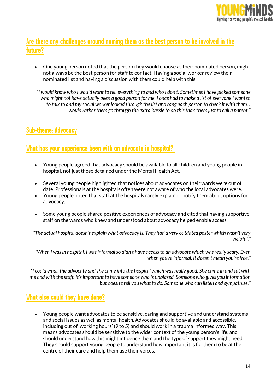

#### Are there any challenges around naming them as the best person to be involved in the future?

 One young person noted that the person they would choose as their nominated person, might not always be the best person for staff to contact. Having a social worker review their nominated list and having a discussion with them could help with this.

"I would know who I would want to tell everything to and who I don't. Sometimes I have picked someone who might not have actually been a good person for me. I once had to make a list of everyone I wanted to talk to and my social worker looked through the list and rang each person to check it with them. I would rather them go through the extra hassle to do this than them just to call a parent."

#### Sub-theme: Advocacy

#### What has your experience been with an advocate in hospital?

- Young people agreed that advocacy should be available to all children and young people in hospital, not just those detained under the Mental Health Act.
- Several young people highlighted that notices about advocates on their wards were out of date. Professionals at the hospitals often were not aware of who the local advocates were.
- Young people noted that staff at the hospitals rarely explain or notify them about options for advocacy.
- Some young people shared positive experiences of advocacy and cited that having supportive staff on the wards who knew and understood about advocacy helped enable access.

"The actual hospital doesn't explain what advocacy is. They had a very outdated poster which wasn't very helpful."

"When I was in hospital, I was informal so didn't have access to an advocate which was really scary. Even when you're informal, it doesn't mean you're free."

"I could email the advocate and she came into the hospital which was really good. She came in and sat with me and with the staff. It's important to have someone who is unbiased. Someone who gives you information but doesn't tell you what to do. Someone who can listen and sympathise."

#### What else could they have done?

 Young people want advocates to be sensitive, caring and supportive and understand systems and social issues as well as mental health. Advocates should be available and accessible, including out of 'working hours' (9 to 5) and should work in a trauma informed way. This means advocates should be sensitive to the wider context of the young person's life, and should understand how this might influence them and the type of support they might need. They should support young people to understand how important it is for them to be at the centre of their care and help them use their voices.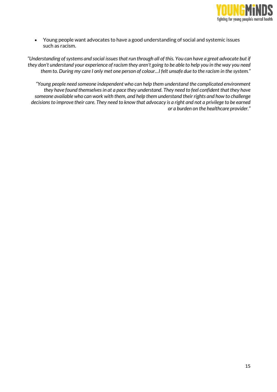

 Young people want advocates to have a good understanding of social and systemic issues such as racism.

"Understanding of systems and social issues that run through all of this. You can have a great advocate but if they don't understand your experience of racism they aren't going to be able to help you in the way you need them to. During my care I only met one person of colour…I felt unsafe due to the racism in the system."

"Young people need someone independent who can help them understand the complicated environment they have found themselves in at a pace they understand. They need to feel confident that they have someone available who can work with them, and help them understand their rights and how to challenge decisions to improve their care. They need to know that advocacy is a right and not a privilege to be earned or a burden on the healthcare provider."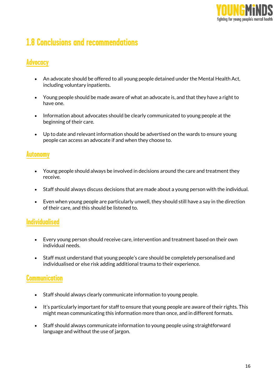

# 1.8 Conclusions and recommendations

#### **Advocacy**

- An advocate should be offered to all young people detained under the Mental Health Act, including voluntary inpatients.
- Young people should be made aware of what an advocate is, and that they have a right to have one.
- Information about advocates should be clearly communicated to young people at the beginning of their care.
- Up to date and relevant information should be advertised on the wards to ensure young people can access an advocate if and when they choose to.

#### Autonomy

- Young people should always be involved in decisions around the care and treatment they receive.
- Staff should always discuss decisions that are made about a young person with the individual.
- Even when young people are particularly unwell, they should still have a say in the direction of their care, and this should be listened to.

#### Individualised

- Every young person should receive care, intervention and treatment based on their own individual needs.
- Staff must understand that young people's care should be completely personalised and individualised or else risk adding additional trauma to their experience.

#### **Communication**

- Staff should always clearly communicate information to young people.
- It's particularly important for staff to ensure that young people are aware of their rights. This might mean communicating this information more than once, and in different formats.
- Staff should always communicate information to young people using straightforward language and without the use of jargon.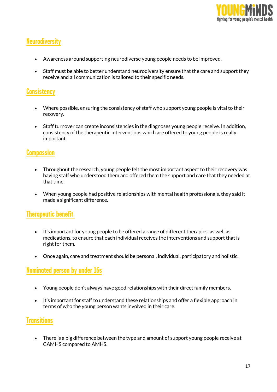

#### **Neurodiversity**

- Awareness around supporting neurodiverse young people needs to be improved.
- Staff must be able to better understand neurodiversity ensure that the care and support they receive and all communication is tailored to their specific needs.

#### **Consistency**

- Where possible, ensuring the consistency of staff who support young people is vital to their recovery.
- Staff turnover can create inconsistencies in the diagnoses young people receive. In addition, consistency of the therapeutic interventions which are offered to young people is really important.

#### **Compassion**

- Throughout the research, young people felt the most important aspect to their recovery was having staff who understood them and offered them the support and care that they needed at that time.
- When young people had positive relationships with mental health professionals, they said it made a significant difference.

#### Therapeutic benefit

- It's important for young people to be offered a range of different therapies, as well as medications, to ensure that each individual receives the interventions and support that is right for them.
- Once again, care and treatment should be personal, individual, participatory and holistic.

#### Nominated person by under 16s

- Young people don't always have good relationships with their direct family members.
- It's important for staff to understand these relationships and offer a flexible approach in terms of who the young person wants involved in their care.

#### **Transitions**

 There is a big difference between the type and amount of support young people receive at CAMHS compared to AMHS.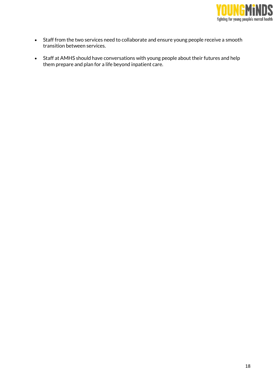

- Staff from the two services need to collaborate and ensure young people receive a smooth transition between services.
- Staff at AMHS should have conversations with young people about their futures and help them prepare and plan for a life beyond inpatient care.